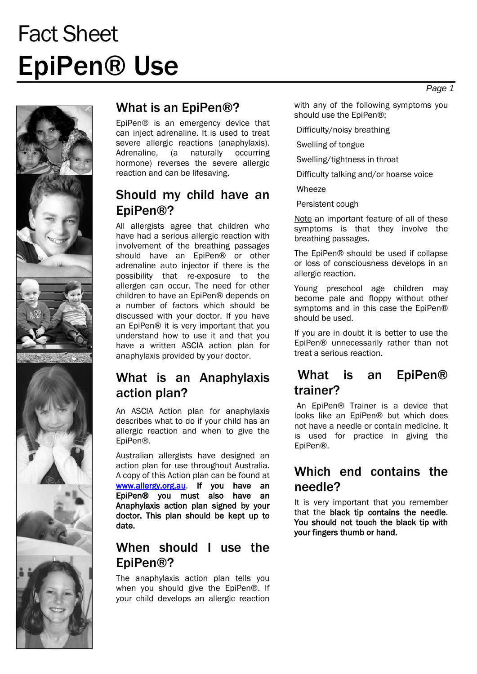# Fact Sheet EpiPen® Use



 $x \rightarrow 0$ 

### What is an EpiPen®?

EpiPen® is an emergency device that can inject adrenaline. It is used to treat severe allergic reactions (anaphylaxis). Adrenaline, (a naturally occurring hormone) reverses the severe allergic reaction and can be lifesaving.

#### Should my child have an EpiPen®?

All allergists agree that children who have had a serious allergic reaction with involvement of the breathing passages should have an EpiPen® or other adrenaline auto injector if there is the possibility that re-exposure to the allergen can occur. The need for other children to have an EpiPen® depends on a number of factors which should be discussed with your doctor. If you have an EpiPen® it is very important that you understand how to use it and that you have a written ASCIA action plan for anaphylaxis provided by your doctor.

#### What is an Anaphylaxis action plan?

An ASCIA Action plan for anaphylaxis describes what to do if your child has an allergic reaction and when to give the EpiPen®.

Australian allergists have designed an action plan for use throughout Australia. A copy of this Action plan can be found at [www.allergy.org.au.](http://www.allergy.org.au/) If you have an EpiPen® you must also have an Anaphylaxis action plan signed by your doctor. This plan should be kept up to date.

#### When should I use the EpiPen®?

The anaphylaxis action plan tells you when you should give the EpiPen®. If your child develops an allergic reaction with any of the following symptoms you should use the EpiPen®;

Difficulty/noisy breathing

Swelling of tongue

Swelling/tightness in throat

Difficulty talking and/or hoarse voice

Wheeze

Persistent cough

Note an important feature of all of these symptoms is that they involve the breathing passages.

The EpiPen® should be used if collapse or loss of consciousness develops in an allergic reaction.

Young preschool age children may become pale and floppy without other symptoms and in this case the EpiPen® should be used.

If you are in doubt it is better to use the EpiPen® unnecessarily rather than not treat a serious reaction.

#### What is an EpiPen® trainer?

An EpiPen® Trainer is a device that looks like an EpiPen® but which does not have a needle or contain medicine. It is used for practice in giving the EpiPen®.

#### Which end contains the needle?

It is very important that you remember that the black tip contains the needle. You should not touch the black tip with your fingers thumb or hand.

*Page 1*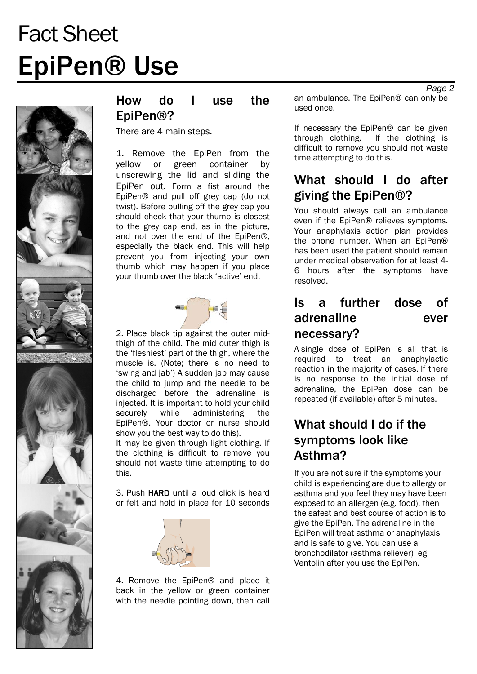# Fact Sheet EpiPen® Use



### How do I use the EpiPen®?

There are 4 main steps.

1. Remove the EpiPen from the yellow or green container by unscrewing the lid and sliding the EpiPen out. Form a fist around the EpiPen® and pull off grey cap (do not twist). Before pulling off the grey cap you should check that your thumb is closest to the grey cap end, as in the picture, and not over the end of the EpiPen®, especially the black end. This will help prevent you from injecting your own thumb which may happen if you place your thumb over the black 'active' end.



2. Place black tip against the outer midthigh of the child. The mid outer thigh is the 'fleshiest' part of the thigh, where the muscle is. (Note; there is no need to 'swing and jab') A sudden jab may cause the child to jump and the needle to be discharged before the adrenaline is injected. It is important to hold your child<br>securely while administering the securely while administering the EpiPen®. Your doctor or nurse should show you the best way to do this). It may be given through light clothing. If the clothing is difficult to remove you should not waste time attempting to do this.

3. Push HARD until a loud click is heard or felt and hold in place for 10 seconds



4. Remove the EpiPen® and place it back in the yellow or green container with the needle pointing down, then call an ambulance. The EpiPen® can only be used once.

If necessary the EpiPen® can be given<br>through clothing. If the clothing is If the clothing is difficult to remove you should not waste time attempting to do this.

### What should I do after giving the EpiPen®?

You should always call an ambulance even if the EpiPen® relieves symptoms. Your anaphylaxis action plan provides the phone number. When an EpiPen® has been used the patient should remain under medical observation for at least 4- 6 hours after the symptoms have resolved.

#### Is a further dose of adrenaline ever necessary?

A single dose of EpiPen is all that is required to treat an anaphylactic reaction in the majority of cases. If there is no response to the initial dose of adrenaline, the EpiPen dose can be repeated (if available) after 5 minutes.

# What should I do if the symptoms look like Asthma?

If you are not sure if the symptoms your child is experiencing are due to allergy or asthma and you feel they may have been exposed to an allergen (e.g. food), then the safest and best course of action is to give the EpiPen. The adrenaline in the EpiPen will treat asthma or anaphylaxis and is safe to give. You can use a bronchodilator (asthma reliever) eg Ventolin after you use the EpiPen.

*Page 2*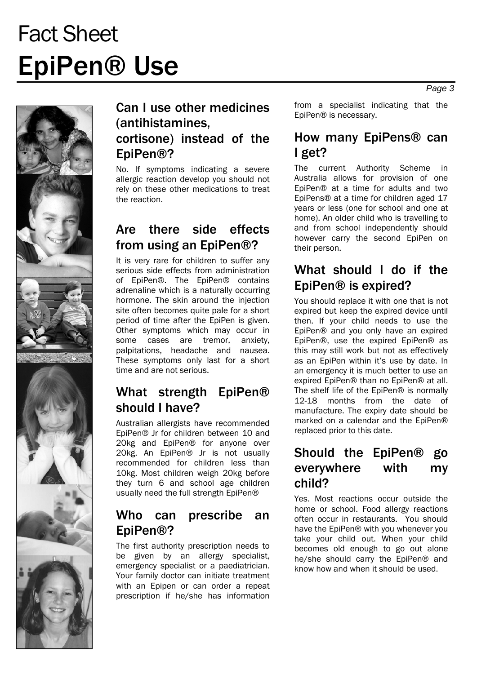# Fact Sheet EpiPen® Use



### Can I use other medicines (antihistamines, cortisone) instead of the EpiPen®?

No. If symptoms indicating a severe allergic reaction develop you should not rely on these other medications to treat the reaction.

# Are there side effects from using an EpiPen®?

It is very rare for children to suffer any serious side effects from administration of EpiPen®. The EpiPen® contains adrenaline which is a naturally occurring hormone. The skin around the injection site often becomes quite pale for a short period of time after the EpiPen is given. Other symptoms which may occur in some cases are tremor, anxiety, palpitations, headache and nausea. These symptoms only last for a short time and are not serious.

# What strength EpiPen® should I have?

Australian allergists have recommended EpiPen® Jr for children between 10 and 20kg and EpiPen® for anyone over 20kg. An EpiPen® Jr is not usually recommended for children less than 10kg. Most children weigh 20kg before they turn 6 and school age children usually need the full strength EpiPen®

### Who can prescribe an EpiPen®?

The first authority prescription needs to be given by an allergy specialist, emergency specialist or a paediatrician. Your family doctor can initiate treatment with an Epipen or can order a repeat prescription if he/she has information

from a specialist indicating that the EpiPen® is necessary.

#### How many EpiPens® can I get?

The current Authority Scheme in Australia allows for provision of one EpiPen® at a time for adults and two EpiPens® at a time for children aged 17 years or less (one for school and one at home). An older child who is travelling to and from school independently should however carry the second EpiPen on their person.

### What should I do if the EpiPen® is expired?

You should replace it with one that is not expired but keep the expired device until then. If your child needs to use the EpiPen® and you only have an expired EpiPen®, use the expired EpiPen® as this may still work but not as effectively as an EpiPen within it's use by date. In an emergency it is much better to use an expired EpiPen® than no EpiPen® at all. The shelf life of the EpiPen® is normally 12-18 months from the date of manufacture. The expiry date should be marked on a calendar and the EpiPen® replaced prior to this date.

#### Should the EpiPen® go everywhere with my child?

Yes. Most reactions occur outside the home or school. Food allergy reactions often occur in restaurants. You should have the EpiPen® with you whenever you take your child out. When your child becomes old enough to go out alone he/she should carry the EpiPen® and know how and when it should be used.

*Page 3*